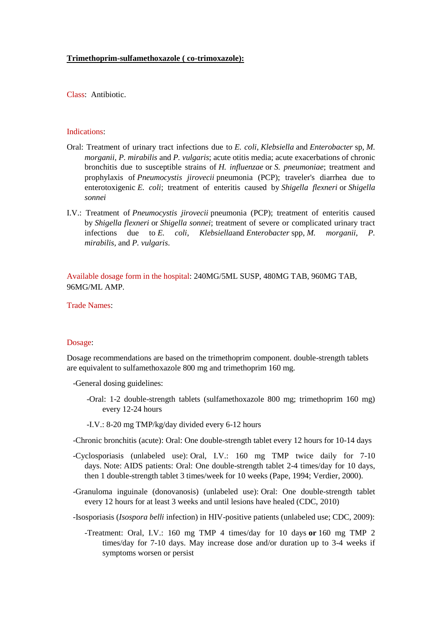## **Trimethoprim-sulfamethoxazole ( co-trimoxazole):**

Class: Antibiotic.

## Indications:

- Oral: Treatment of urinary tract infections due to *E. coli*, *Klebsiella* and *Enterobacter* sp, *M. morganii*, *P. mirabilis* and *P. vulgaris*; acute otitis media; acute exacerbations of chronic bronchitis due to susceptible strains of *H. influenzae* or *S. pneumoniae*; treatment and prophylaxis of *Pneumocystis jirovecii* pneumonia (PCP); traveler's diarrhea due to enterotoxigenic *E. coli*; treatment of enteritis caused by *Shigella flexneri* or *Shigella sonnei*
- I.V.: Treatment of *Pneumocystis jirovecii* pneumonia (PCP); treatment of enteritis caused by *Shigella flexneri* or *Shigella sonnei*; treatment of severe or complicated urinary tract infections due to *E. coli, Klebsiella*and *Enterobacter* spp, *M. morganii, P. mirabilis,* and *P. vulgaris*.

Available dosage form in the hospital: 240MG/5ML SUSP, 480MG TAB, 960MG TAB, 96MG/ML AMP.

Trade Names:

## Dosage:

Dosage recommendations are based on the trimethoprim component. double-strength tablets are equivalent to sulfamethoxazole 800 mg and trimethoprim 160 mg.

-General dosing guidelines:

- -Oral: 1-2 double-strength tablets (sulfamethoxazole 800 mg; trimethoprim 160 mg) every 12-24 hours
- -I.V.: 8-20 mg TMP/kg/day divided every 6-12 hours
- -Chronic bronchitis (acute): Oral: One double-strength tablet every 12 hours for 10-14 days
- -Cyclosporiasis (unlabeled use): Oral, I.V.: 160 mg TMP twice daily for 7-10 days. Note: AIDS patients: Oral: One double-strength tablet 2-4 times/day for 10 days, then 1 double-strength tablet 3 times/week for 10 weeks (Pape, 1994; Verdier, 2000).
- -Granuloma inguinale (donovanosis) (unlabeled use): Oral: One double-strength tablet every 12 hours for at least 3 weeks and until lesions have healed (CDC, 2010)
- -Isosporiasis (*Isospora belli* infection) in HIV-positive patients (unlabeled use; CDC, 2009):
	- -Treatment: Oral, I.V.: 160 mg TMP 4 times/day for 10 days **or** 160 mg TMP 2 times/day for 7-10 days. May increase dose and/or duration up to 3-4 weeks if symptoms worsen or persist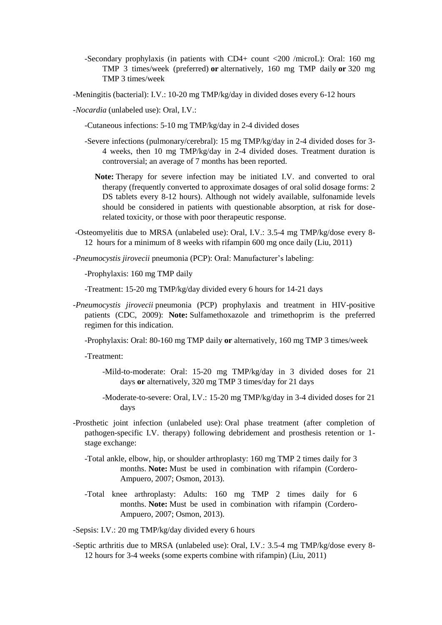- -Secondary prophylaxis (in patients with CD4+ count <200 /microL): Oral: 160 mg TMP 3 times/week (preferred) **or** alternatively, 160 mg TMP daily **or** 320 mg TMP 3 times/week
- -Meningitis (bacterial): I.V.: 10-20 mg TMP/kg/day in divided doses every 6-12 hours

 *-Nocardia* (unlabeled use): Oral, I.V.:

-Cutaneous infections: 5-10 mg TMP/kg/day in 2-4 divided doses

- -Severe infections (pulmonary/cerebral): 15 mg TMP/kg/day in 2-4 divided doses for 3- 4 weeks, then 10 mg TMP/kg/day in 2-4 divided doses. Treatment duration is controversial; an average of 7 months has been reported.
	- **Note:** Therapy for severe infection may be initiated I.V. and converted to oral therapy (frequently converted to approximate dosages of oral solid dosage forms: 2 DS tablets every 8-12 hours). Although not widely available, sulfonamide levels should be considered in patients with questionable absorption, at risk for doserelated toxicity, or those with poor therapeutic response.
- -Osteomyelitis due to MRSA (unlabeled use): Oral, I.V.: 3.5-4 mg TMP/kg/dose every 8- 12 hours for a minimum of 8 weeks with rifampin 600 mg once daily (Liu, 2011)
- *-Pneumocystis jirovecii* pneumonia (PCP): Oral: Manufacturer's labeling:

-Prophylaxis: 160 mg TMP daily

-Treatment: 15-20 mg TMP/kg/day divided every 6 hours for 14-21 days

 *-Pneumocystis jirovecii* pneumonia (PCP) prophylaxis and treatment in HIV-positive patients (CDC, 2009): **Note:** Sulfamethoxazole and trimethoprim is the preferred regimen for this indication.

-Prophylaxis: Oral: 80-160 mg TMP daily **or** alternatively, 160 mg TMP 3 times/week

-Treatment:

- -Mild-to-moderate: Oral: 15-20 mg TMP/kg/day in 3 divided doses for 21 days **or** alternatively, 320 mg TMP 3 times/day for 21 days
- -Moderate-to-severe: Oral, I.V.: 15-20 mg TMP/kg/day in 3-4 divided doses for 21 days
- -Prosthetic joint infection (unlabeled use): Oral phase treatment (after completion of pathogen-specific I.V. therapy) following debridement and prosthesis retention or 1 stage exchange:
	- -Total ankle, elbow, hip, or shoulder arthroplasty: 160 mg TMP 2 times daily for 3 months. **Note:** Must be used in combination with rifampin (Cordero-Ampuero, 2007; Osmon, 2013).
	- -Total knee arthroplasty: Adults: 160 mg TMP 2 times daily for 6 months. **Note:** Must be used in combination with rifampin (Cordero-Ampuero, 2007; Osmon, 2013).

-Sepsis: I.V.: 20 mg TMP/kg/day divided every 6 hours

 -Septic arthritis due to MRSA (unlabeled use): Oral, I.V.: 3.5-4 mg TMP/kg/dose every 8- 12 hours for 3-4 weeks (some experts combine with rifampin) (Liu, 2011)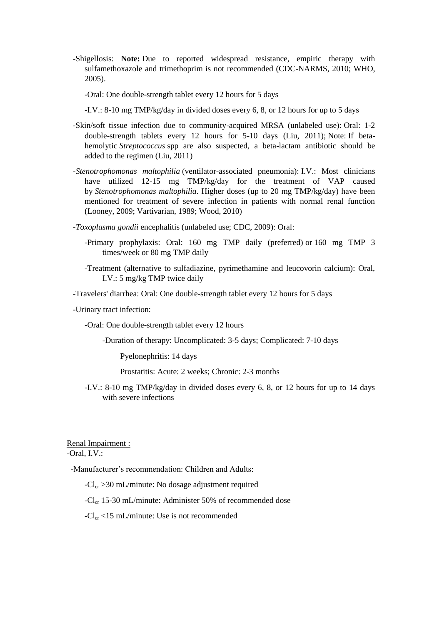-Shigellosis: **Note:** Due to reported widespread resistance, empiric therapy with sulfamethoxazole and trimethoprim is not recommended (CDC-NARMS, 2010; WHO, 2005).

-Oral: One double-strength tablet every 12 hours for 5 days

- -I.V.: 8-10 mg TMP/kg/day in divided doses every 6, 8, or 12 hours for up to 5 days
- -Skin/soft tissue infection due to community-acquired MRSA (unlabeled use): Oral: 1-2 double-strength tablets every 12 hours for 5-10 days (Liu, 2011); Note: If betahemolytic *Streptococcus* spp are also suspected, a beta-lactam antibiotic should be added to the regimen (Liu, 2011)
- *-Stenotrophomonas maltophilia* (ventilator-associated pneumonia): I.V.: Most clinicians have utilized 12-15 mg TMP/kg/day for the treatment of VAP caused by *Stenotrophomonas maltophilia*. Higher doses (up to 20 mg TMP/kg/day) have been mentioned for treatment of severe infection in patients with normal renal function (Looney, 2009; Vartivarian, 1989; Wood, 2010)
- *-Toxoplasma gondii* encephalitis (unlabeled use; CDC, 2009): Oral:
	- -Primary prophylaxis: Oral: 160 mg TMP daily (preferred) or 160 mg TMP 3 times/week or 80 mg TMP daily
	- -Treatment (alternative to sulfadiazine, pyrimethamine and leucovorin calcium): Oral, I.V.: 5 mg/kg TMP twice daily
- -Travelers' diarrhea: Oral: One double-strength tablet every 12 hours for 5 days
- -Urinary tract infection:
	- -Oral: One double-strength tablet every 12 hours
		- -Duration of therapy: Uncomplicated: 3-5 days; Complicated: 7-10 days

Pyelonephritis: 14 days

Prostatitis: Acute: 2 weeks; Chronic: 2-3 months

-I.V.: 8-10 mg TMP/kg/day in divided doses every 6, 8, or 12 hours for up to 14 days with severe infections

Renal Impairment :

-Oral, I.V.:

-Manufacturer's recommendation: Children and Adults:

 $-Cl_{cr} > 30$  mL/minute: No dosage adjustment required

 $-Cl_{cr}$  15-30 mL/minute: Administer 50% of recommended dose

 $-Cl_{cr}$  <15 mL/minute: Use is not recommended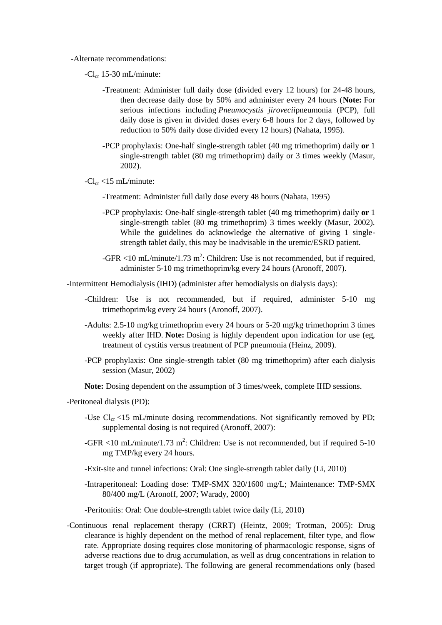- -Alternate recommendations:
	- $-Cl_{cr}$  15-30 mL/minute:
		- -Treatment: Administer full daily dose (divided every 12 hours) for 24-48 hours, then decrease daily dose by 50% and administer every 24 hours (**Note:** For serious infections including *Pneumocystis jirovecii*pneumonia (PCP), full daily dose is given in divided doses every 6-8 hours for 2 days, followed by reduction to 50% daily dose divided every 12 hours) (Nahata, 1995).
		- -PCP prophylaxis: One-half single-strength tablet (40 mg trimethoprim) daily **or** 1 single-strength tablet (80 mg trimethoprim) daily or 3 times weekly (Masur, 2002).
	- $-Cl_{cr}$  <15 mL/minute:
		- -Treatment: Administer full daily dose every 48 hours (Nahata, 1995)
		- -PCP prophylaxis: One-half single-strength tablet (40 mg trimethoprim) daily **or** 1 single-strength tablet (80 mg trimethoprim) 3 times weekly (Masur, 2002). While the guidelines do acknowledge the alternative of giving 1 singlestrength tablet daily, this may be inadvisable in the uremic/ESRD patient.
		- -GFR <10 mL/minute/1.73 m<sup>2</sup>: Children: Use is not recommended, but if required, administer 5-10 mg trimethoprim/kg every 24 hours (Aronoff, 2007).
- -Intermittent Hemodialysis (IHD) (administer after hemodialysis on dialysis days):
	- -Children: Use is not recommended, but if required, administer 5-10 mg trimethoprim/kg every 24 hours (Aronoff, 2007).
	- -Adults: 2.5-10 mg/kg trimethoprim every 24 hours or 5-20 mg/kg trimethoprim 3 times weekly after IHD. **Note:** Dosing is highly dependent upon indication for use (eg, treatment of cystitis versus treatment of PCP pneumonia (Heinz, 2009).
	- -PCP prophylaxis: One single-strength tablet (80 mg trimethoprim) after each dialysis session (Masur, 2002)

**Note:** Dosing dependent on the assumption of 3 times/week, complete IHD sessions.

-Peritoneal dialysis (PD):

- -Use  $Cl_{cr}$  <15 mL/minute dosing recommendations. Not significantly removed by PD; supplemental dosing is not required (Aronoff, 2007):
- -GFR <10 mL/minute/1.73 m<sup>2</sup>: Children: Use is not recommended, but if required 5-10 mg TMP/kg every 24 hours.
- -Exit-site and tunnel infections: Oral: One single-strength tablet daily (Li, 2010)
- -Intraperitoneal: Loading dose: TMP-SMX 320/1600 mg/L; Maintenance: TMP-SMX 80/400 mg/L (Aronoff, 2007; Warady, 2000)

-Peritonitis: Oral: One double-strength tablet twice daily (Li, 2010)

-Continuous renal replacement therapy (CRRT) (Heintz, 2009; Trotman, 2005): Drug clearance is highly dependent on the method of renal replacement, filter type, and flow rate. Appropriate dosing requires close monitoring of pharmacologic response, signs of adverse reactions due to drug accumulation, as well as drug concentrations in relation to target trough (if appropriate). The following are general recommendations only (based